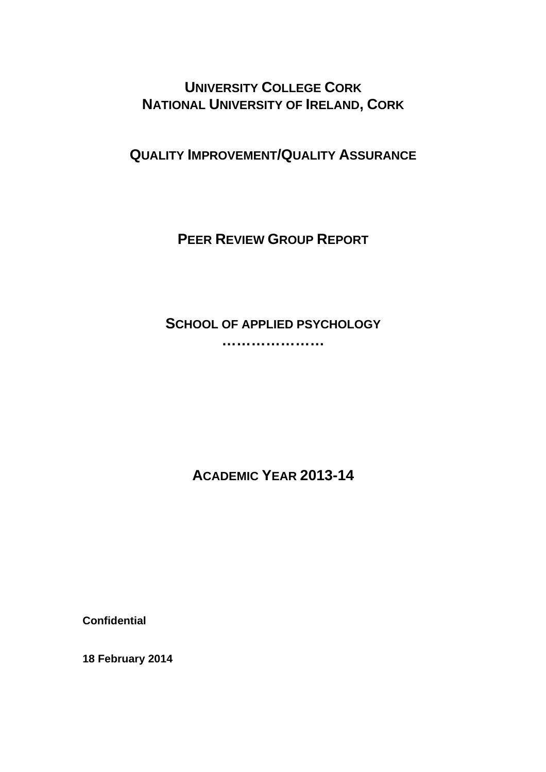**UNIVERSITY COLLEGE CORK NATIONAL UNIVERSITY OF IRELAND, CORK**

**QUALITY IMPROVEMENT/QUALITY ASSURANCE**

**PEER REVIEW GROUP REPORT**

**SCHOOL OF APPLIED PSYCHOLOGY**

**…………………** 

**ACADEMIC YEAR 2013-14** 

**Confidential** 

**18 February 2014**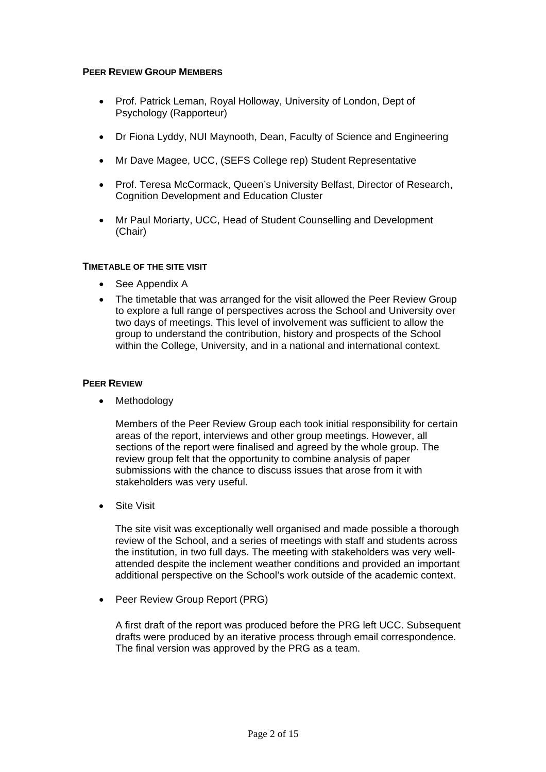## **PEER REVIEW GROUP MEMBERS**

- Prof. Patrick Leman, Royal Holloway, University of London, Dept of Psychology (Rapporteur)
- Dr Fiona Lyddy, NUI Maynooth, Dean, Faculty of Science and Engineering
- Mr Dave Magee, UCC, (SEFS College rep) Student Representative
- Prof. Teresa McCormack, Queen's University Belfast, Director of Research, Cognition Development and Education Cluster
- Mr Paul Moriarty, UCC, Head of Student Counselling and Development (Chair)

## **TIMETABLE OF THE SITE VISIT**

- See Appendix A
- The timetable that was arranged for the visit allowed the Peer Review Group to explore a full range of perspectives across the School and University over two days of meetings. This level of involvement was sufficient to allow the group to understand the contribution, history and prospects of the School within the College, University, and in a national and international context.

## **PEER REVIEW**

• Methodology

Members of the Peer Review Group each took initial responsibility for certain areas of the report, interviews and other group meetings. However, all sections of the report were finalised and agreed by the whole group. The review group felt that the opportunity to combine analysis of paper submissions with the chance to discuss issues that arose from it with stakeholders was very useful.

• Site Visit

The site visit was exceptionally well organised and made possible a thorough review of the School, and a series of meetings with staff and students across the institution, in two full days. The meeting with stakeholders was very wellattended despite the inclement weather conditions and provided an important additional perspective on the School's work outside of the academic context.

Peer Review Group Report (PRG)

A first draft of the report was produced before the PRG left UCC. Subsequent drafts were produced by an iterative process through email correspondence. The final version was approved by the PRG as a team.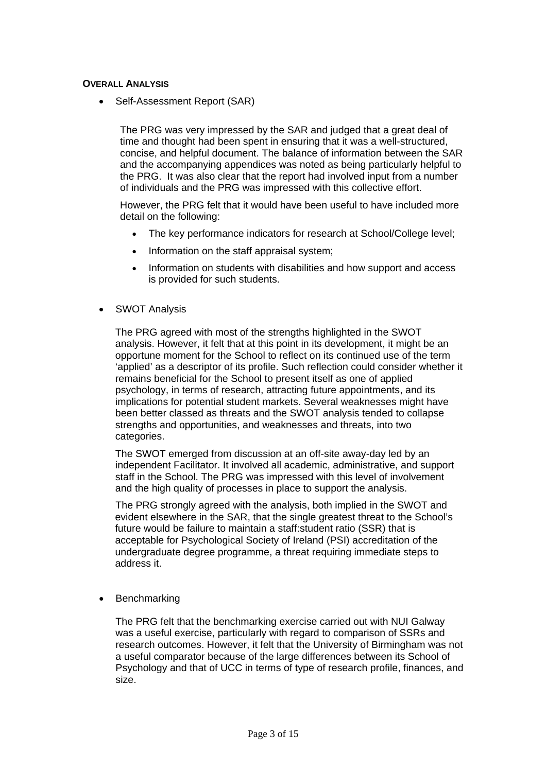## **OVERALL ANALYSIS**

Self-Assessment Report (SAR)

The PRG was very impressed by the SAR and judged that a great deal of time and thought had been spent in ensuring that it was a well-structured, concise, and helpful document. The balance of information between the SAR and the accompanying appendices was noted as being particularly helpful to the PRG. It was also clear that the report had involved input from a number of individuals and the PRG was impressed with this collective effort.

However, the PRG felt that it would have been useful to have included more detail on the following:

- The key performance indicators for research at School/College level;
- Information on the staff appraisal system;
- Information on students with disabilities and how support and access is provided for such students.
- SWOT Analysis

The PRG agreed with most of the strengths highlighted in the SWOT analysis. However, it felt that at this point in its development, it might be an opportune moment for the School to reflect on its continued use of the term 'applied' as a descriptor of its profile. Such reflection could consider whether it remains beneficial for the School to present itself as one of applied psychology, in terms of research, attracting future appointments, and its implications for potential student markets. Several weaknesses might have been better classed as threats and the SWOT analysis tended to collapse strengths and opportunities, and weaknesses and threats, into two categories.

The SWOT emerged from discussion at an off-site away-day led by an independent Facilitator. It involved all academic, administrative, and support staff in the School. The PRG was impressed with this level of involvement and the high quality of processes in place to support the analysis.

 The PRG strongly agreed with the analysis, both implied in the SWOT and evident elsewhere in the SAR, that the single greatest threat to the School's future would be failure to maintain a staff:student ratio (SSR) that is acceptable for Psychological Society of Ireland (PSI) accreditation of the undergraduate degree programme, a threat requiring immediate steps to address it.

**Benchmarking** 

The PRG felt that the benchmarking exercise carried out with NUI Galway was a useful exercise, particularly with regard to comparison of SSRs and research outcomes. However, it felt that the University of Birmingham was not a useful comparator because of the large differences between its School of Psychology and that of UCC in terms of type of research profile, finances, and size.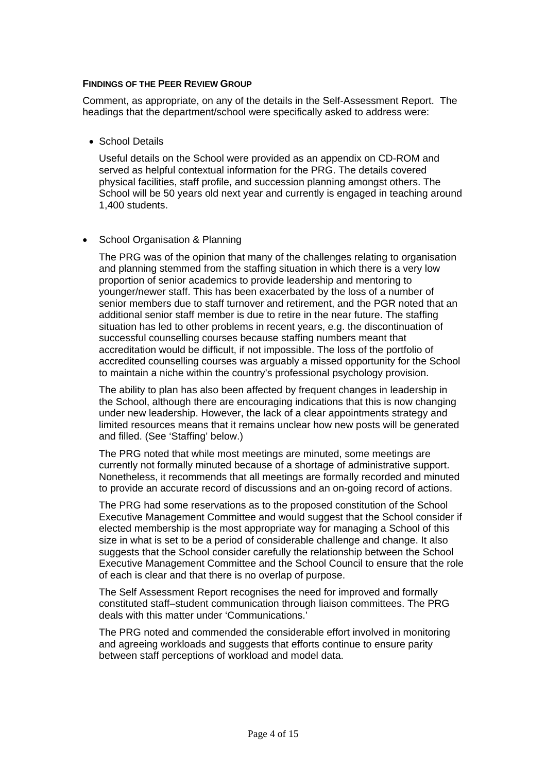## **FINDINGS OF THE PEER REVIEW GROUP**

Comment, as appropriate, on any of the details in the Self-Assessment Report. The headings that the department/school were specifically asked to address were:

• School Details

Useful details on the School were provided as an appendix on CD-ROM and served as helpful contextual information for the PRG. The details covered physical facilities, staff profile, and succession planning amongst others. The School will be 50 years old next year and currently is engaged in teaching around 1,400 students.

## • School Organisation & Planning

The PRG was of the opinion that many of the challenges relating to organisation and planning stemmed from the staffing situation in which there is a very low proportion of senior academics to provide leadership and mentoring to younger/newer staff. This has been exacerbated by the loss of a number of senior members due to staff turnover and retirement, and the PGR noted that an additional senior staff member is due to retire in the near future. The staffing situation has led to other problems in recent years, e.g. the discontinuation of successful counselling courses because staffing numbers meant that accreditation would be difficult, if not impossible. The loss of the portfolio of accredited counselling courses was arguably a missed opportunity for the School to maintain a niche within the country's professional psychology provision.

The ability to plan has also been affected by frequent changes in leadership in the School, although there are encouraging indications that this is now changing under new leadership. However, the lack of a clear appointments strategy and limited resources means that it remains unclear how new posts will be generated and filled. (See 'Staffing' below.)

The PRG noted that while most meetings are minuted, some meetings are currently not formally minuted because of a shortage of administrative support. Nonetheless, it recommends that all meetings are formally recorded and minuted to provide an accurate record of discussions and an on-going record of actions.

The PRG had some reservations as to the proposed constitution of the School Executive Management Committee and would suggest that the School consider if elected membership is the most appropriate way for managing a School of this size in what is set to be a period of considerable challenge and change. It also suggests that the School consider carefully the relationship between the School Executive Management Committee and the School Council to ensure that the role of each is clear and that there is no overlap of purpose.

The Self Assessment Report recognises the need for improved and formally constituted staff–student communication through liaison committees. The PRG deals with this matter under 'Communications.'

The PRG noted and commended the considerable effort involved in monitoring and agreeing workloads and suggests that efforts continue to ensure parity between staff perceptions of workload and model data.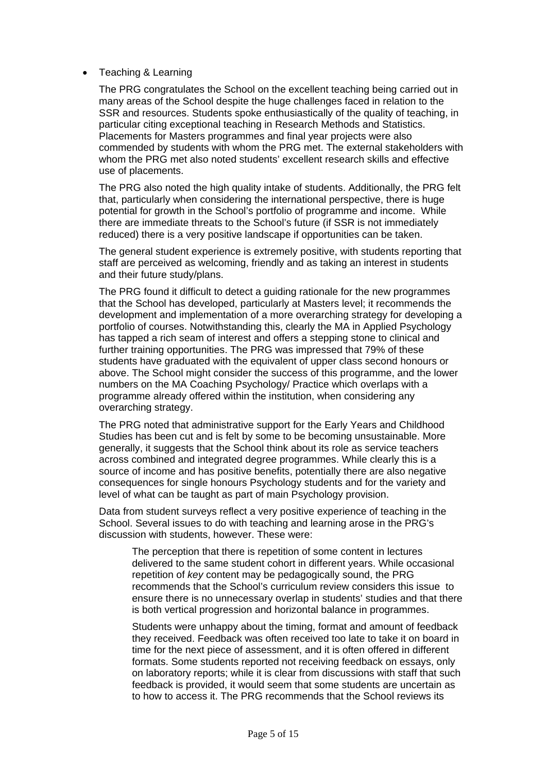## • Teaching & Learning

The PRG congratulates the School on the excellent teaching being carried out in many areas of the School despite the huge challenges faced in relation to the SSR and resources. Students spoke enthusiastically of the quality of teaching, in particular citing exceptional teaching in Research Methods and Statistics. Placements for Masters programmes and final year projects were also commended by students with whom the PRG met. The external stakeholders with whom the PRG met also noted students' excellent research skills and effective use of placements.

The PRG also noted the high quality intake of students. Additionally, the PRG felt that, particularly when considering the international perspective, there is huge potential for growth in the School's portfolio of programme and income. While there are immediate threats to the School's future (if SSR is not immediately reduced) there is a very positive landscape if opportunities can be taken.

The general student experience is extremely positive, with students reporting that staff are perceived as welcoming, friendly and as taking an interest in students and their future study/plans.

The PRG found it difficult to detect a guiding rationale for the new programmes that the School has developed, particularly at Masters level; it recommends the development and implementation of a more overarching strategy for developing a portfolio of courses. Notwithstanding this, clearly the MA in Applied Psychology has tapped a rich seam of interest and offers a stepping stone to clinical and further training opportunities. The PRG was impressed that 79% of these students have graduated with the equivalent of upper class second honours or above. The School might consider the success of this programme, and the lower numbers on the MA Coaching Psychology/ Practice which overlaps with a programme already offered within the institution, when considering any overarching strategy.

The PRG noted that administrative support for the Early Years and Childhood Studies has been cut and is felt by some to be becoming unsustainable. More generally, it suggests that the School think about its role as service teachers across combined and integrated degree programmes. While clearly this is a source of income and has positive benefits, potentially there are also negative consequences for single honours Psychology students and for the variety and level of what can be taught as part of main Psychology provision.

Data from student surveys reflect a very positive experience of teaching in the School. Several issues to do with teaching and learning arose in the PRG's discussion with students, however. These were:

The perception that there is repetition of some content in lectures delivered to the same student cohort in different years. While occasional repetition of *key* content may be pedagogically sound, the PRG recommends that the School's curriculum review considers this issue to ensure there is no unnecessary overlap in students' studies and that there is both vertical progression and horizontal balance in programmes.

Students were unhappy about the timing, format and amount of feedback they received. Feedback was often received too late to take it on board in time for the next piece of assessment, and it is often offered in different formats. Some students reported not receiving feedback on essays, only on laboratory reports; while it is clear from discussions with staff that such feedback is provided, it would seem that some students are uncertain as to how to access it. The PRG recommends that the School reviews its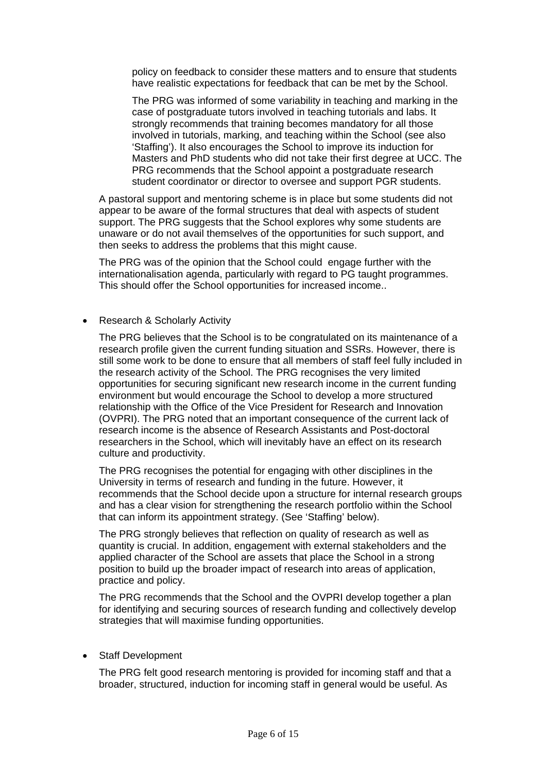policy on feedback to consider these matters and to ensure that students have realistic expectations for feedback that can be met by the School.

The PRG was informed of some variability in teaching and marking in the case of postgraduate tutors involved in teaching tutorials and labs. It strongly recommends that training becomes mandatory for all those involved in tutorials, marking, and teaching within the School (see also 'Staffing'). It also encourages the School to improve its induction for Masters and PhD students who did not take their first degree at UCC. The PRG recommends that the School appoint a postgraduate research student coordinator or director to oversee and support PGR students.

A pastoral support and mentoring scheme is in place but some students did not appear to be aware of the formal structures that deal with aspects of student support. The PRG suggests that the School explores why some students are unaware or do not avail themselves of the opportunities for such support, and then seeks to address the problems that this might cause.

The PRG was of the opinion that the School could engage further with the internationalisation agenda, particularly with regard to PG taught programmes. This should offer the School opportunities for increased income..

## • Research & Scholarly Activity

The PRG believes that the School is to be congratulated on its maintenance of a research profile given the current funding situation and SSRs. However, there is still some work to be done to ensure that all members of staff feel fully included in the research activity of the School. The PRG recognises the very limited opportunities for securing significant new research income in the current funding environment but would encourage the School to develop a more structured relationship with the Office of the Vice President for Research and Innovation (OVPRI). The PRG noted that an important consequence of the current lack of research income is the absence of Research Assistants and Post-doctoral researchers in the School, which will inevitably have an effect on its research culture and productivity.

The PRG recognises the potential for engaging with other disciplines in the University in terms of research and funding in the future. However, it recommends that the School decide upon a structure for internal research groups and has a clear vision for strengthening the research portfolio within the School that can inform its appointment strategy. (See 'Staffing' below).

The PRG strongly believes that reflection on quality of research as well as quantity is crucial. In addition, engagement with external stakeholders and the applied character of the School are assets that place the School in a strong position to build up the broader impact of research into areas of application, practice and policy.

The PRG recommends that the School and the OVPRI develop together a plan for identifying and securing sources of research funding and collectively develop strategies that will maximise funding opportunities.

## • Staff Development

The PRG felt good research mentoring is provided for incoming staff and that a broader, structured, induction for incoming staff in general would be useful. As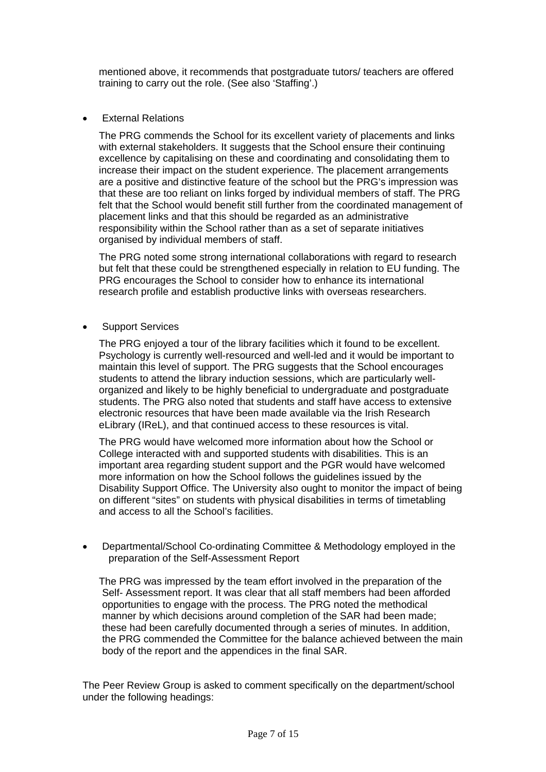mentioned above, it recommends that postgraduate tutors/ teachers are offered training to carry out the role. (See also 'Staffing'.)

**•** External Relations

The PRG commends the School for its excellent variety of placements and links with external stakeholders. It suggests that the School ensure their continuing excellence by capitalising on these and coordinating and consolidating them to increase their impact on the student experience. The placement arrangements are a positive and distinctive feature of the school but the PRG's impression was that these are too reliant on links forged by individual members of staff. The PRG felt that the School would benefit still further from the coordinated management of placement links and that this should be regarded as an administrative responsibility within the School rather than as a set of separate initiatives organised by individual members of staff.

The PRG noted some strong international collaborations with regard to research but felt that these could be strengthened especially in relation to EU funding. The PRG encourages the School to consider how to enhance its international research profile and establish productive links with overseas researchers.

• Support Services

The PRG enjoyed a tour of the library facilities which it found to be excellent. Psychology is currently well-resourced and well-led and it would be important to maintain this level of support. The PRG suggests that the School encourages students to attend the library induction sessions, which are particularly wellorganized and likely to be highly beneficial to undergraduate and postgraduate students. The PRG also noted that students and staff have access to extensive electronic resources that have been made available via the Irish Research eLibrary (IReL), and that continued access to these resources is vital.

The PRG would have welcomed more information about how the School or College interacted with and supported students with disabilities. This is an important area regarding student support and the PGR would have welcomed more information on how the School follows the guidelines issued by the Disability Support Office. The University also ought to monitor the impact of being on different "sites" on students with physical disabilities in terms of timetabling and access to all the School's facilities.

 Departmental/School Co-ordinating Committee & Methodology employed in the preparation of the Self-Assessment Report

The PRG was impressed by the team effort involved in the preparation of the Self- Assessment report. It was clear that all staff members had been afforded opportunities to engage with the process. The PRG noted the methodical manner by which decisions around completion of the SAR had been made; these had been carefully documented through a series of minutes. In addition, the PRG commended the Committee for the balance achieved between the main body of the report and the appendices in the final SAR.

The Peer Review Group is asked to comment specifically on the department/school under the following headings: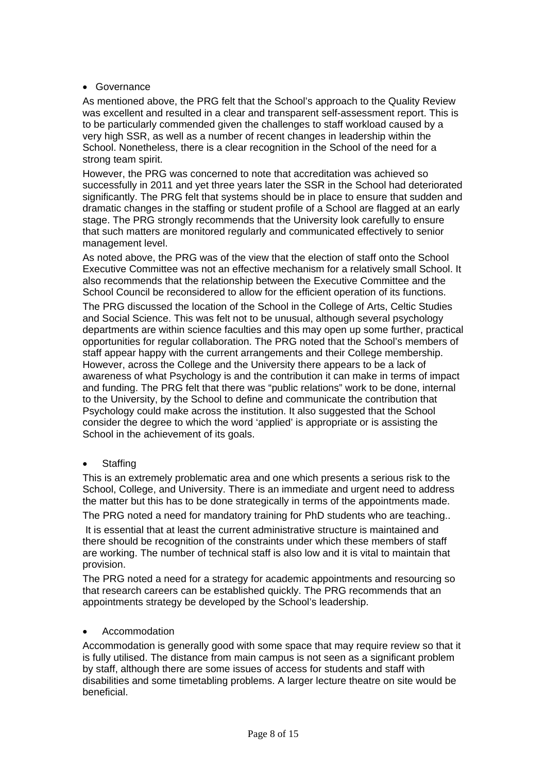## • Governance

As mentioned above, the PRG felt that the School's approach to the Quality Review was excellent and resulted in a clear and transparent self-assessment report. This is to be particularly commended given the challenges to staff workload caused by a very high SSR, as well as a number of recent changes in leadership within the School. Nonetheless, there is a clear recognition in the School of the need for a strong team spirit.

However, the PRG was concerned to note that accreditation was achieved so successfully in 2011 and yet three years later the SSR in the School had deteriorated significantly. The PRG felt that systems should be in place to ensure that sudden and dramatic changes in the staffing or student profile of a School are flagged at an early stage. The PRG strongly recommends that the University look carefully to ensure that such matters are monitored regularly and communicated effectively to senior management level.

As noted above, the PRG was of the view that the election of staff onto the School Executive Committee was not an effective mechanism for a relatively small School. It also recommends that the relationship between the Executive Committee and the School Council be reconsidered to allow for the efficient operation of its functions.

The PRG discussed the location of the School in the College of Arts, Celtic Studies and Social Science. This was felt not to be unusual, although several psychology departments are within science faculties and this may open up some further, practical opportunities for regular collaboration. The PRG noted that the School's members of staff appear happy with the current arrangements and their College membership. However, across the College and the University there appears to be a lack of awareness of what Psychology is and the contribution it can make in terms of impact and funding. The PRG felt that there was "public relations" work to be done, internal to the University, by the School to define and communicate the contribution that Psychology could make across the institution. It also suggested that the School consider the degree to which the word 'applied' is appropriate or is assisting the School in the achievement of its goals.

**Staffing** 

This is an extremely problematic area and one which presents a serious risk to the School, College, and University. There is an immediate and urgent need to address the matter but this has to be done strategically in terms of the appointments made.

The PRG noted a need for mandatory training for PhD students who are teaching..

 It is essential that at least the current administrative structure is maintained and there should be recognition of the constraints under which these members of staff are working. The number of technical staff is also low and it is vital to maintain that provision.

The PRG noted a need for a strategy for academic appointments and resourcing so that research careers can be established quickly. The PRG recommends that an appointments strategy be developed by the School's leadership.

#### Accommodation

Accommodation is generally good with some space that may require review so that it is fully utilised. The distance from main campus is not seen as a significant problem by staff, although there are some issues of access for students and staff with disabilities and some timetabling problems. A larger lecture theatre on site would be beneficial.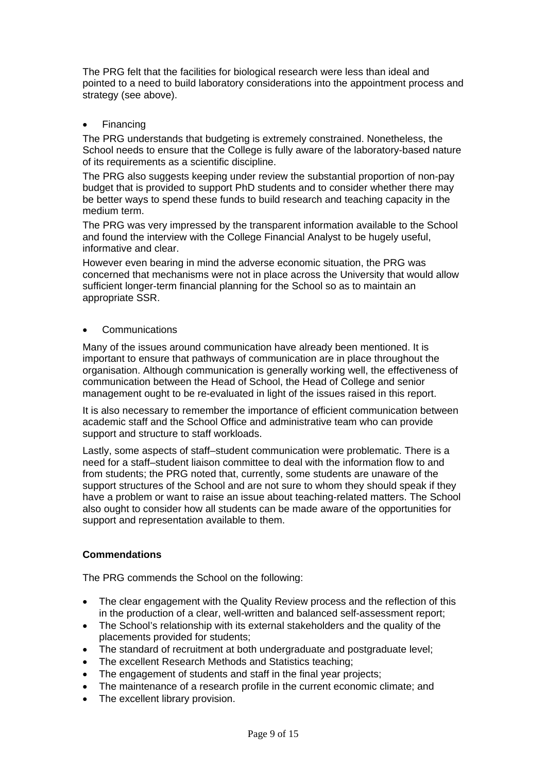The PRG felt that the facilities for biological research were less than ideal and pointed to a need to build laboratory considerations into the appointment process and strategy (see above).

Financing

The PRG understands that budgeting is extremely constrained. Nonetheless, the School needs to ensure that the College is fully aware of the laboratory-based nature of its requirements as a scientific discipline.

The PRG also suggests keeping under review the substantial proportion of non-pay budget that is provided to support PhD students and to consider whether there may be better ways to spend these funds to build research and teaching capacity in the medium term.

The PRG was very impressed by the transparent information available to the School and found the interview with the College Financial Analyst to be hugely useful, informative and clear.

However even bearing in mind the adverse economic situation, the PRG was concerned that mechanisms were not in place across the University that would allow sufficient longer-term financial planning for the School so as to maintain an appropriate SSR.

## Communications

Many of the issues around communication have already been mentioned. It is important to ensure that pathways of communication are in place throughout the organisation. Although communication is generally working well, the effectiveness of communication between the Head of School, the Head of College and senior management ought to be re-evaluated in light of the issues raised in this report.

It is also necessary to remember the importance of efficient communication between academic staff and the School Office and administrative team who can provide support and structure to staff workloads.

Lastly, some aspects of staff–student communication were problematic. There is a need for a staff–student liaison committee to deal with the information flow to and from students; the PRG noted that, currently, some students are unaware of the support structures of the School and are not sure to whom they should speak if they have a problem or want to raise an issue about teaching-related matters. The School also ought to consider how all students can be made aware of the opportunities for support and representation available to them.

# **Commendations**

The PRG commends the School on the following:

- The clear engagement with the Quality Review process and the reflection of this in the production of a clear, well-written and balanced self-assessment report;
- The School's relationship with its external stakeholders and the quality of the placements provided for students;
- The standard of recruitment at both undergraduate and postgraduate level;
- The excellent Research Methods and Statistics teaching;
- The engagement of students and staff in the final year projects:
- The maintenance of a research profile in the current economic climate; and
- The excellent library provision.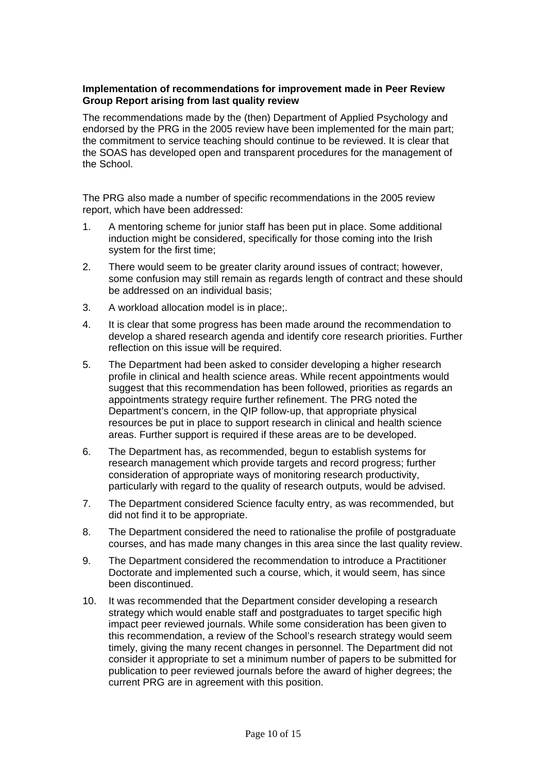#### **Implementation of recommendations for improvement made in Peer Review Group Report arising from last quality review**

The recommendations made by the (then) Department of Applied Psychology and endorsed by the PRG in the 2005 review have been implemented for the main part; the commitment to service teaching should continue to be reviewed. It is clear that the SOAS has developed open and transparent procedures for the management of the School.

The PRG also made a number of specific recommendations in the 2005 review report, which have been addressed:

- 1. A mentoring scheme for junior staff has been put in place. Some additional induction might be considered, specifically for those coming into the Irish system for the first time;
- 2. There would seem to be greater clarity around issues of contract; however, some confusion may still remain as regards length of contract and these should be addressed on an individual basis;
- 3. A workload allocation model is in place;.
- 4. It is clear that some progress has been made around the recommendation to develop a shared research agenda and identify core research priorities. Further reflection on this issue will be required.
- 5. The Department had been asked to consider developing a higher research profile in clinical and health science areas. While recent appointments would suggest that this recommendation has been followed, priorities as regards an appointments strategy require further refinement. The PRG noted the Department's concern, in the QIP follow-up, that appropriate physical resources be put in place to support research in clinical and health science areas. Further support is required if these areas are to be developed.
- 6. The Department has, as recommended, begun to establish systems for research management which provide targets and record progress; further consideration of appropriate ways of monitoring research productivity, particularly with regard to the quality of research outputs, would be advised.
- 7. The Department considered Science faculty entry, as was recommended, but did not find it to be appropriate.
- 8. The Department considered the need to rationalise the profile of postgraduate courses, and has made many changes in this area since the last quality review.
- 9. The Department considered the recommendation to introduce a Practitioner Doctorate and implemented such a course, which, it would seem, has since been discontinued.
- 10. It was recommended that the Department consider developing a research strategy which would enable staff and postgraduates to target specific high impact peer reviewed journals. While some consideration has been given to this recommendation, a review of the School's research strategy would seem timely, giving the many recent changes in personnel. The Department did not consider it appropriate to set a minimum number of papers to be submitted for publication to peer reviewed journals before the award of higher degrees; the current PRG are in agreement with this position.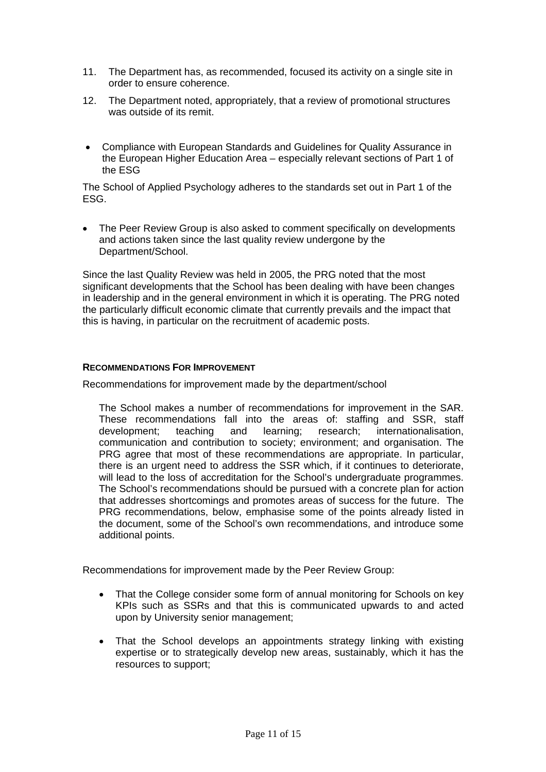- 11. The Department has, as recommended, focused its activity on a single site in order to ensure coherence.
- 12. The Department noted, appropriately, that a review of promotional structures was outside of its remit.
- Compliance with European Standards and Guidelines for Quality Assurance in the European Higher Education Area – especially relevant sections of Part 1 of the ESG

The School of Applied Psychology adheres to the standards set out in Part 1 of the ESG.

 The Peer Review Group is also asked to comment specifically on developments and actions taken since the last quality review undergone by the Department/School.

Since the last Quality Review was held in 2005, the PRG noted that the most significant developments that the School has been dealing with have been changes in leadership and in the general environment in which it is operating. The PRG noted the particularly difficult economic climate that currently prevails and the impact that this is having, in particular on the recruitment of academic posts.

## **RECOMMENDATIONS FOR IMPROVEMENT**

Recommendations for improvement made by the department/school

The School makes a number of recommendations for improvement in the SAR. These recommendations fall into the areas of: staffing and SSR, staff development; teaching and learning; research; internationalisation, communication and contribution to society; environment; and organisation. The PRG agree that most of these recommendations are appropriate. In particular, there is an urgent need to address the SSR which, if it continues to deteriorate, will lead to the loss of accreditation for the School's undergraduate programmes. The School's recommendations should be pursued with a concrete plan for action that addresses shortcomings and promotes areas of success for the future. The PRG recommendations, below, emphasise some of the points already listed in the document, some of the School's own recommendations, and introduce some additional points.

Recommendations for improvement made by the Peer Review Group:

- That the College consider some form of annual monitoring for Schools on key KPIs such as SSRs and that this is communicated upwards to and acted upon by University senior management;
- That the School develops an appointments strategy linking with existing expertise or to strategically develop new areas, sustainably, which it has the resources to support;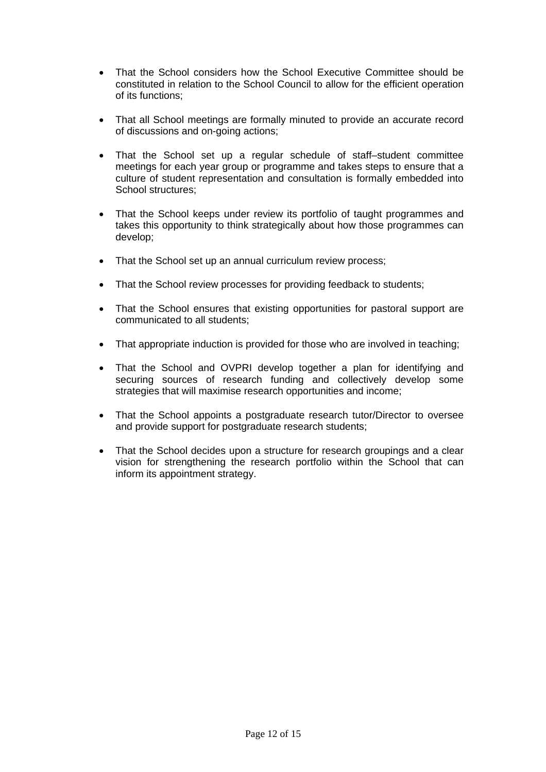- That the School considers how the School Executive Committee should be constituted in relation to the School Council to allow for the efficient operation of its functions;
- That all School meetings are formally minuted to provide an accurate record of discussions and on-going actions;
- That the School set up a regular schedule of staff–student committee meetings for each year group or programme and takes steps to ensure that a culture of student representation and consultation is formally embedded into School structures;
- That the School keeps under review its portfolio of taught programmes and takes this opportunity to think strategically about how those programmes can develop;
- That the School set up an annual curriculum review process;
- That the School review processes for providing feedback to students;
- That the School ensures that existing opportunities for pastoral support are communicated to all students;
- That appropriate induction is provided for those who are involved in teaching;
- That the School and OVPRI develop together a plan for identifying and securing sources of research funding and collectively develop some strategies that will maximise research opportunities and income;
- That the School appoints a postgraduate research tutor/Director to oversee and provide support for postgraduate research students;
- That the School decides upon a structure for research groupings and a clear vision for strengthening the research portfolio within the School that can inform its appointment strategy.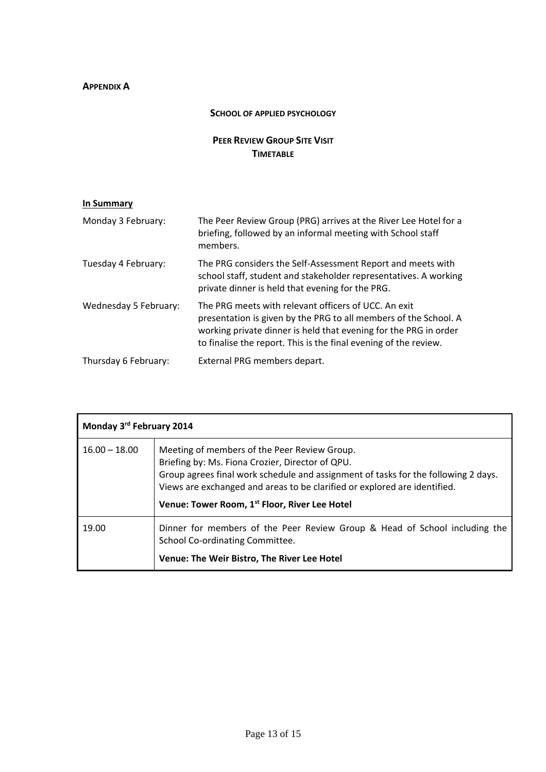# **APPENDIX A**

#### **SCHOOL OF APPLIED PSYCHOLOGY**

# **PEER REVIEW GROUP SITE VISIT TIMETABLE**

| In Summary |
|------------|
|------------|

| Monday 3 February:    | The Peer Review Group (PRG) arrives at the River Lee Hotel for a<br>briefing, followed by an informal meeting with School staff<br>members.                                                                                                                      |
|-----------------------|------------------------------------------------------------------------------------------------------------------------------------------------------------------------------------------------------------------------------------------------------------------|
| Tuesday 4 February:   | The PRG considers the Self-Assessment Report and meets with<br>school staff, student and stakeholder representatives. A working<br>private dinner is held that evening for the PRG.                                                                              |
| Wednesday 5 February: | The PRG meets with relevant officers of UCC. An exit<br>presentation is given by the PRG to all members of the School. A<br>working private dinner is held that evening for the PRG in order<br>to finalise the report. This is the final evening of the review. |
| Thursday 6 February:  | External PRG members depart.                                                                                                                                                                                                                                     |

| Monday 3rd February 2014 |                                                                                                                                                                                                                                                                     |
|--------------------------|---------------------------------------------------------------------------------------------------------------------------------------------------------------------------------------------------------------------------------------------------------------------|
| $16.00 - 18.00$          | Meeting of members of the Peer Review Group.<br>Briefing by: Ms. Fiona Crozier, Director of QPU.<br>Group agrees final work schedule and assignment of tasks for the following 2 days.<br>Views are exchanged and areas to be clarified or explored are identified. |
|                          | Venue: Tower Room, 1 <sup>st</sup> Floor, River Lee Hotel                                                                                                                                                                                                           |
| 19.00                    | Dinner for members of the Peer Review Group & Head of School including the<br>School Co-ordinating Committee.                                                                                                                                                       |
|                          | Venue: The Weir Bistro, The River Lee Hotel                                                                                                                                                                                                                         |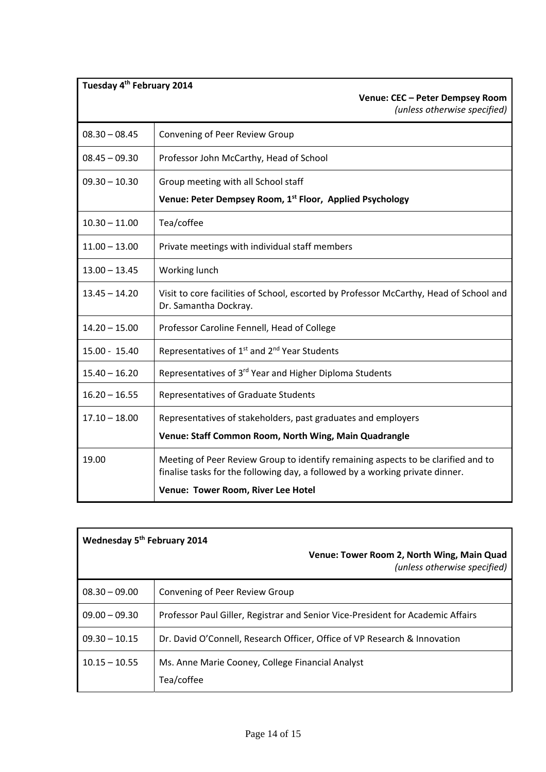| Tuesday 4 <sup>th</sup> February 2014<br>Venue: CEC - Peter Dempsey Room<br>(unless otherwise specified)                                                                                                 |
|----------------------------------------------------------------------------------------------------------------------------------------------------------------------------------------------------------|
| Convening of Peer Review Group                                                                                                                                                                           |
| Professor John McCarthy, Head of School                                                                                                                                                                  |
| Group meeting with all School staff                                                                                                                                                                      |
| Venue: Peter Dempsey Room, 1st Floor, Applied Psychology                                                                                                                                                 |
| Tea/coffee                                                                                                                                                                                               |
| Private meetings with individual staff members                                                                                                                                                           |
| Working lunch                                                                                                                                                                                            |
| Visit to core facilities of School, escorted by Professor McCarthy, Head of School and<br>Dr. Samantha Dockray.                                                                                          |
| Professor Caroline Fennell, Head of College                                                                                                                                                              |
| Representatives of 1 <sup>st</sup> and 2 <sup>nd</sup> Year Students                                                                                                                                     |
| Representatives of 3 <sup>rd</sup> Year and Higher Diploma Students                                                                                                                                      |
| Representatives of Graduate Students                                                                                                                                                                     |
| Representatives of stakeholders, past graduates and employers                                                                                                                                            |
| Venue: Staff Common Room, North Wing, Main Quadrangle                                                                                                                                                    |
| Meeting of Peer Review Group to identify remaining aspects to be clarified and to<br>finalise tasks for the following day, a followed by a working private dinner.<br>Venue: Tower Room, River Lee Hotel |
|                                                                                                                                                                                                          |

| Wednesday 5 <sup>th</sup> February 2014 |                                                                                 |  |
|-----------------------------------------|---------------------------------------------------------------------------------|--|
|                                         | Venue: Tower Room 2, North Wing, Main Quad<br>(unless otherwise specified)      |  |
| $08.30 - 09.00$                         | Convening of Peer Review Group                                                  |  |
| $09.00 - 09.30$                         | Professor Paul Giller, Registrar and Senior Vice-President for Academic Affairs |  |
| $09.30 - 10.15$                         | Dr. David O'Connell, Research Officer, Office of VP Research & Innovation       |  |
| $10.15 - 10.55$                         | Ms. Anne Marie Cooney, College Financial Analyst<br>Tea/coffee                  |  |